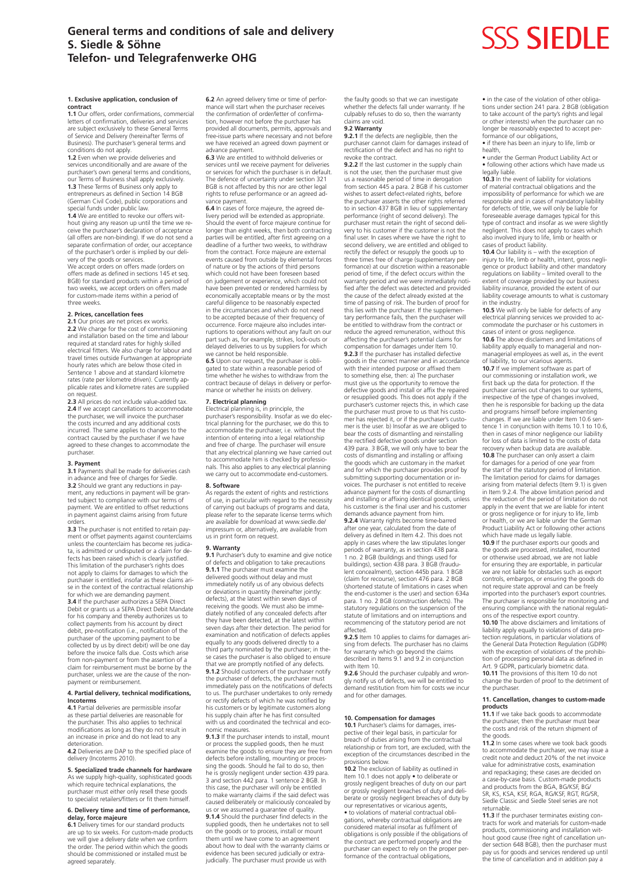## **[General terms and conditions of sale and deliver](http://w1srvpim.siedle.de/cgi-bin/WebObjects/XSiMIPS.woa/wa/WerbebausteinAction/pdfmark?id=7880)y [S. Siedle & Söhne](http://w1srvpim.siedle.de/cgi-bin/WebObjects/XSiMIPS.woa/wa/WerbebausteinAction/pdfmark?id=7880)  Telefon- und Telegrafenwerke OHG**

# **SSS SIEDLE**

## **[1. Exc](http://w1srvpim.siedle.de/cgi-bin/WebObjects/XSiMIPS.woa/wa/WerbebausteinAction/pdfmark?id=12645)lusive application, conclusion of [contract](http://w1srvpim.siedle.de/cgi-bin/WebObjects/XSiMIPS.woa/wa/WerbebausteinAction/pdfmark?id=12645)**<br>**1.1** Our offers, order confirmations, commercial

letters of confirmation, deliveries and services<br>[are subject exclusively to these General Te](http://w1srvpim.siedle.de/cgi-bin/WebObjects/XSiMIPS.woa/wa/WerbebausteinAction/pdfmark?id=12645)rms [of Service and Delivery \(hereinafter Terms](http://w1srvpim.siedle.de/cgi-bin/WebObjects/XSiMIPS.woa/wa/WerbebausteinAction/pdfmark?id=12645) of [Business\). The purcha](http://w1srvpim.siedle.de/cgi-bin/WebObjects/XSiMIPS.woa/wa/WerbebausteinAction/pdfmark?id=12645)ser's general terms and

[conditions do not apply.](http://w1srvpim.siedle.de/cgi-bin/WebObjects/XSiMIPS.woa/wa/WerbebausteinAction/pdfmark?id=12645) **1.2** [Even when we provide deliveries and](http://w1srvpim.siedle.de/cgi-bin/WebObjects/XSiMIPS.woa/wa/WerbebausteinAction/pdfmark?id=12645)  [services unconditionally and are aware of th](http://w1srvpim.siedle.de/cgi-bin/WebObjects/XSiMIPS.woa/wa/WerbebausteinAction/pdfmark?id=12645)e [purchaser's own general terms and condi](http://w1srvpim.siedle.de/cgi-bin/WebObjects/XSiMIPS.woa/wa/WerbebausteinAction/pdfmark?id=12645)tions, [our Terms of Business shall apply exclus](http://w1srvpim.siedle.de/cgi-bin/WebObjects/XSiMIPS.woa/wa/WerbebausteinAction/pdfmark?id=12645)ively. **1.3** [These Terms of Business only apply to](http://w1srvpim.siedle.de/cgi-bin/WebObjects/XSiMIPS.woa/wa/WerbebausteinAction/pdfmark?id=12645) entrepreneurs as defined in Section 14 BGB<br>[\(German Civil Code\), public](http://w1srvpim.siedle.de/cgi-bin/WebObjects/XSiMIPS.woa/wa/WerbebausteinAction/pdfmark?id=12645) corporations and

[special funds under public law.](http://w1srvpim.siedle.de/cgi-bin/WebObjects/XSiMIPS.woa/wa/WerbebausteinAction/pdfmark?id=12645) **1.4** [We are entitled to revoke our offers wit](http://w1srvpim.siedle.de/cgi-bin/WebObjects/XSiMIPS.woa/wa/WerbebausteinAction/pdfmark?id=12645)[hout giving any reason up until the time we](http://w1srvpim.siedle.de/cgi-bin/WebObjects/XSiMIPS.woa/wa/WerbebausteinAction/pdfmark?id=12645) re-[ceive the purchaser's declaration of acceptan](http://w1srvpim.siedle.de/cgi-bin/WebObjects/XSiMIPS.woa/wa/WerbebausteinAction/pdfmark?id=12645)ce [\(all offers are non-binding\). If we do not sen](http://w1srvpim.siedle.de/cgi-bin/WebObjects/XSiMIPS.woa/wa/WerbebausteinAction/pdfmark?id=12645)d a [separate confi rmation of order, our accept](http://w1srvpim.siedle.de/cgi-bin/WebObjects/XSiMIPS.woa/wa/WerbebausteinAction/pdfmark?id=12645)ance [of the purchaser's order is](http://w1srvpim.siedle.de/cgi-bin/WebObjects/XSiMIPS.woa/wa/WerbebausteinAction/pdfmark?id=12645) implied by our deli-[very of the goods or services.](http://w1srvpim.siedle.de/cgi-bin/WebObjects/XSiMIPS.woa/wa/WerbebausteinAction/pdfmark?id=12645)

[We accept orders on offers made \(orders on](http://w1srvpim.siedle.de/cgi-bin/WebObjects/XSiMIPS.woa/wa/WerbebausteinAction/pdfmark?id=12645) offers made as defined in sections 145 et seq. [BGB\) for standard products within a period](http://w1srvpim.siedle.de/cgi-bin/WebObjects/XSiMIPS.woa/wa/WerbebausteinAction/pdfmark?id=12645) of [two weeks, we accept orders on offers](http://w1srvpim.siedle.de/cgi-bin/WebObjects/XSiMIPS.woa/wa/WerbebausteinAction/pdfmark?id=12645) made [for custom](http://w1srvpim.siedle.de/cgi-bin/WebObjects/XSiMIPS.woa/wa/WerbebausteinAction/pdfmark?id=12645)-made items within a period of ee weeks

#### **[2. Prices, cancellation fees](http://w1srvpim.siedle.de/cgi-bin/WebObjects/XSiMIPS.woa/wa/WerbebausteinAction/pdfmark?id=12645)**

**2.1** [Our prices are net prices ex works.](http://w1srvpim.siedle.de/cgi-bin/WebObjects/XSiMIPS.woa/wa/WerbebausteinAction/pdfmark?id=12645) **2.2** [We charge for the cost of commissionin](http://w1srvpim.siedle.de/cgi-bin/WebObjects/XSiMIPS.woa/wa/WerbebausteinAction/pdfmark?id=12645)g [and installation based on the time and la](http://w1srvpim.siedle.de/cgi-bin/WebObjects/XSiMIPS.woa/wa/WerbebausteinAction/pdfmark?id=12645)bour [required at standard rates for highly skilled](http://w1srvpim.siedle.de/cgi-bin/WebObjects/XSiMIPS.woa/wa/WerbebausteinAction/pdfmark?id=12645)  electrical fitters. We also charge for labour and<br>[travel times outside Furtwangen at appro](http://w1srvpim.siedle.de/cgi-bin/WebObjects/XSiMIPS.woa/wa/WerbebausteinAction/pdfmark?id=12645)priate [hourly rates which are below those cited i](http://w1srvpim.siedle.de/cgi-bin/WebObjects/XSiMIPS.woa/wa/WerbebausteinAction/pdfmark?id=12645)n [Sentence 1 above and at standard kilometr](http://w1srvpim.siedle.de/cgi-bin/WebObjects/XSiMIPS.woa/wa/WerbebausteinAction/pdfmark?id=12645)e [rates \(rate per kilometre driven\). Currently a](http://w1srvpim.siedle.de/cgi-bin/WebObjects/XSiMIPS.woa/wa/WerbebausteinAction/pdfmark?id=12645)p[plicable](http://w1srvpim.siedle.de/cgi-bin/WebObjects/XSiMIPS.woa/wa/WerbebausteinAction/pdfmark?id=12645) rates and kilometre rates are supplied [on request.](http://w1srvpim.siedle.de/cgi-bin/WebObjects/XSiMIPS.woa/wa/WerbebausteinAction/pdfmark?id=12645)

**2.3** [All prices do not include value-added tax](http://w1srvpim.siedle.de/cgi-bin/WebObjects/XSiMIPS.woa/wa/WerbebausteinAction/pdfmark?id=12645). **2.4** [If we accept cancellations to accomm](http://w1srvpim.siedle.de/cgi-bin/WebObjects/XSiMIPS.woa/wa/WerbebausteinAction/pdfmark?id=12645)odate [the purchaser, we will invoice the purcha](http://w1srvpim.siedle.de/cgi-bin/WebObjects/XSiMIPS.woa/wa/WerbebausteinAction/pdfmark?id=12645)ser [the costs incurred and any additional costs](http://w1srvpim.siedle.de/cgi-bin/WebObjects/XSiMIPS.woa/wa/WerbebausteinAction/pdfmark?id=12645) [incurred. The same applies to changes to](http://w1srvpim.siedle.de/cgi-bin/WebObjects/XSiMIPS.woa/wa/WerbebausteinAction/pdfmark?id=12645) the [contract caused by the purchaser if we have](http://w1srvpim.siedle.de/cgi-bin/WebObjects/XSiMIPS.woa/wa/WerbebausteinAction/pdfmark?id=12645) [agreed](http://w1srvpim.siedle.de/cgi-bin/WebObjects/XSiMIPS.woa/wa/WerbebausteinAction/pdfmark?id=12645) to these changes to accommodate the [purchase](http://w1srvpim.siedle.de/cgi-bin/WebObjects/XSiMIPS.woa/wa/WerbebausteinAction/pdfmark?id=12645)r.

#### **[3. Payment](http://w1srvpim.siedle.de/cgi-bin/WebObjects/XSiMIPS.woa/wa/WerbebausteinAction/pdfmark?id=12645)**

**3.1** [Payments shall be made for deliver](http://w1srvpim.siedle.de/cgi-bin/WebObjects/XSiMIPS.woa/wa/WerbebausteinAction/pdfmark?id=12645)ies cash [in advance and free of charges for Siedle](http://w1srvpim.siedle.de/cgi-bin/WebObjects/XSiMIPS.woa/wa/WerbebausteinAction/pdfmark?id=12645). **3.2** [Should we grant any reductions in pay-](http://w1srvpim.siedle.de/cgi-bin/WebObjects/XSiMIPS.woa/wa/WerbebausteinAction/pdfmark?id=12645)[ment, any reductions in payment will be g](http://w1srvpim.siedle.de/cgi-bin/WebObjects/XSiMIPS.woa/wa/WerbebausteinAction/pdfmark?id=12645)ran[ted subject to compliance with our terms o](http://w1srvpim.siedle.de/cgi-bin/WebObjects/XSiMIPS.woa/wa/WerbebausteinAction/pdfmark?id=12645)f [payment. We are entitled to offset reductio](http://w1srvpim.siedle.de/cgi-bin/WebObjects/XSiMIPS.woa/wa/WerbebausteinAction/pdfmark?id=12645)ns [in p](http://w1srvpim.siedle.de/cgi-bin/WebObjects/XSiMIPS.woa/wa/WerbebausteinAction/pdfmark?id=12645)ayment against claims arising from future [orders.](http://w1srvpim.siedle.de/cgi-bin/WebObjects/XSiMIPS.woa/wa/WerbebausteinAction/pdfmark?id=12645)

**3.3** [The purchaser is not entitled to retain pa](http://w1srvpim.siedle.de/cgi-bin/WebObjects/XSiMIPS.woa/wa/WerbebausteinAction/pdfmark?id=12645)y[ment or offset payments against counterclai](http://w1srvpim.siedle.de/cgi-bin/WebObjects/XSiMIPS.woa/wa/WerbebausteinAction/pdfmark?id=12645)ms [unless the counterclaim has become res jud](http://w1srvpim.siedle.de/cgi-bin/WebObjects/XSiMIPS.woa/wa/WerbebausteinAction/pdfmark?id=12645)ica-[ta, is admitted or undisputed or a claim for](http://w1srvpim.siedle.de/cgi-bin/WebObjects/XSiMIPS.woa/wa/WerbebausteinAction/pdfmark?id=12645) de[fects has been raised which is clearly justifi](http://w1srvpim.siedle.de/cgi-bin/WebObjects/XSiMIPS.woa/wa/WerbebausteinAction/pdfmark?id=12645)ed. [This limitation of the purchaser's rights doe](http://w1srvpim.siedle.de/cgi-bin/WebObjects/XSiMIPS.woa/wa/WerbebausteinAction/pdfmark?id=12645)s [not apply to claims for damages to which th](http://w1srvpim.siedle.de/cgi-bin/WebObjects/XSiMIPS.woa/wa/WerbebausteinAction/pdfmark?id=12645)e [purchaser is entitled, insofar as these claims a](http://w1srvpim.siedle.de/cgi-bin/WebObjects/XSiMIPS.woa/wa/WerbebausteinAction/pdfmark?id=12645)ri[se in the context of the contractual](http://w1srvpim.siedle.de/cgi-bin/WebObjects/XSiMIPS.woa/wa/WerbebausteinAction/pdfmark?id=12645) relationship [for which we are demanding payment.](http://w1srvpim.siedle.de/cgi-bin/WebObjects/XSiMIPS.woa/wa/WerbebausteinAction/pdfmark?id=12645) **3.4** [If the purchaser authorizes a SEPA Direct](http://w1srvpim.siedle.de/cgi-bin/WebObjects/XSiMIPS.woa/wa/WerbebausteinAction/pdfmark?id=12645)  [Debit or grants us a SEPA Direct Debit Man](http://w1srvpim.siedle.de/cgi-bin/WebObjects/XSiMIPS.woa/wa/WerbebausteinAction/pdfmark?id=12645)date [for his company and thereby authorizes u](http://w1srvpim.siedle.de/cgi-bin/WebObjects/XSiMIPS.woa/wa/WerbebausteinAction/pdfmark?id=12645)s to [collect payments from his account by direct](http://w1srvpim.siedle.de/cgi-bin/WebObjects/XSiMIPS.woa/wa/WerbebausteinAction/pdfmark?id=12645) debit, pre-notification (i.e., notification of the<br>purchaser of the upcoming payment to be [collected by us by direct debit\) will be one d](http://w1srvpim.siedle.de/cgi-bin/WebObjects/XSiMIPS.woa/wa/WerbebausteinAction/pdfmark?id=12645)ay [before the invoice falls due. Costs which a](http://w1srvpim.siedle.de/cgi-bin/WebObjects/XSiMIPS.woa/wa/WerbebausteinAction/pdfmark?id=12645)rise [from non-payment or from the assertion of a](http://w1srvpim.siedle.de/cgi-bin/WebObjects/XSiMIPS.woa/wa/WerbebausteinAction/pdfmark?id=12645) [claim for reimbursement must be borne by](http://w1srvpim.siedle.de/cgi-bin/WebObjects/XSiMIPS.woa/wa/WerbebausteinAction/pdfmark?id=12645) the [purchaser, unless we are](http://w1srvpim.siedle.de/cgi-bin/WebObjects/XSiMIPS.woa/wa/WerbebausteinAction/pdfmark?id=12645) the cause of the non-[payment or reimbursement.](http://w1srvpim.siedle.de/cgi-bin/WebObjects/XSiMIPS.woa/wa/WerbebausteinAction/pdfmark?id=12645)

#### **[4. Parti](http://w1srvpim.siedle.de/cgi-bin/WebObjects/XSiMIPS.woa/wa/WerbebausteinAction/pdfmark?id=12645)al delivery, technical modifications, [Incoterms](http://w1srvpim.siedle.de/cgi-bin/WebObjects/XSiMIPS.woa/wa/WerbebausteinAction/pdfmark?id=12645)**

**4.1** [Partial deliveries are permissible insof](http://w1srvpim.siedle.de/cgi-bin/WebObjects/XSiMIPS.woa/wa/WerbebausteinAction/pdfmark?id=12645)ar [as these partial deliveries are reasonable](http://w1srvpim.siedle.de/cgi-bin/WebObjects/XSiMIPS.woa/wa/WerbebausteinAction/pdfmark?id=12645) for [the purchaser. This also applies to technica](http://w1srvpim.siedle.de/cgi-bin/WebObjects/XSiMIPS.woa/wa/WerbebausteinAction/pdfmark?id=12645)l modifications as long as they do not result in [an increase](http://w1srvpim.siedle.de/cgi-bin/WebObjects/XSiMIPS.woa/wa/WerbebausteinAction/pdfmark?id=12645) in price and do not lead to any [deterioration.](http://w1srvpim.siedle.de/cgi-bin/WebObjects/XSiMIPS.woa/wa/WerbebausteinAction/pdfmark?id=12645)

**4.2** [Deliveries are DAP](http://w1srvpim.siedle.de/cgi-bin/WebObjects/XSiMIPS.woa/wa/WerbebausteinAction/pdfmark?id=12645) to the specified place of [delivery \(Incoterms 2010\).](http://w1srvpim.siedle.de/cgi-bin/WebObjects/XSiMIPS.woa/wa/WerbebausteinAction/pdfmark?id=12645)

**[5. Specialized trade channels for hardwa](http://w1srvpim.siedle.de/cgi-bin/WebObjects/XSiMIPS.woa/wa/WerbebausteinAction/pdfmark?id=12645)re**

[As we supply high-quality, sophisticate](http://w1srvpim.siedle.de/cgi-bin/WebObjects/XSiMIPS.woa/wa/WerbebausteinAction/pdfmark?id=12645)d goods [which require technical explanations, the](http://w1srvpim.siedle.de/cgi-bin/WebObjects/XSiMIPS.woa/wa/WerbebausteinAction/pdfmark?id=12645)  [purchaser must either only resell these good](http://w1srvpim.siedle.de/cgi-bin/WebObjects/XSiMIPS.woa/wa/WerbebausteinAction/pdfmark?id=12645)s to specialist retailers/fitters or fit them himself.

# **[6. Delivery time a](http://w1srvpim.siedle.de/cgi-bin/WebObjects/XSiMIPS.woa/wa/WerbebausteinAction/pdfmark?id=12645)nd time of performance,**

**[delay, force majeure](http://w1srvpim.siedle.de/cgi-bin/WebObjects/XSiMIPS.woa/wa/WerbebausteinAction/pdfmark?id=12645) 6.1** [Delivery times for our standard products](http://w1srvpim.siedle.de/cgi-bin/WebObjects/XSiMIPS.woa/wa/WerbebausteinAction/pdfmark?id=12645)  [are up to six weeks. For custom-made prod](http://w1srvpim.siedle.de/cgi-bin/WebObjects/XSiMIPS.woa/wa/WerbebausteinAction/pdfmark?id=12645)ucts<br>we will give a delivery date when we confirm [the order. The period within which the goo](http://w1srvpim.siedle.de/cgi-bin/WebObjects/XSiMIPS.woa/wa/WerbebausteinAction/pdfmark?id=12645)ds [should be comm](http://w1srvpim.siedle.de/cgi-bin/WebObjects/XSiMIPS.woa/wa/WerbebausteinAction/pdfmark?id=12645)issioned or installed must be agreed separately.

**6.2** [An agreed delivery time or time of perf](http://w1srvpim.siedle.de/cgi-bin/WebObjects/XSiMIPS.woa/wa/WerbebausteinAction/pdfmark?id=12645)or[mance will start when the purchaser rece](http://w1srvpim.siedle.de/cgi-bin/WebObjects/XSiMIPS.woa/wa/WerbebausteinAction/pdfmark?id=12645)ives<br>the confirmation of order/letter of confirma[tion, however not before the purchaser has](http://w1srvpim.siedle.de/cgi-bin/WebObjects/XSiMIPS.woa/wa/WerbebausteinAction/pdfmark?id=12645)  [provided all documents, permits, approvals a](http://w1srvpim.siedle.de/cgi-bin/WebObjects/XSiMIPS.woa/wa/WerbebausteinAction/pdfmark?id=12645)nd [free-issue parts where necessary and not be](http://w1srvpim.siedle.de/cgi-bin/WebObjects/XSiMIPS.woa/wa/WerbebausteinAction/pdfmark?id=12645)fore [we have receive](http://w1srvpim.siedle.de/cgi-bin/WebObjects/XSiMIPS.woa/wa/WerbebausteinAction/pdfmark?id=12645)d an agreed down payment or

[advance payment.](http://w1srvpim.siedle.de/cgi-bin/WebObjects/XSiMIPS.woa/wa/WerbebausteinAction/pdfmark?id=12645) **6.3** [We are entitled to withhold deliveries or](http://w1srvpim.siedle.de/cgi-bin/WebObjects/XSiMIPS.woa/wa/WerbebausteinAction/pdfmark?id=12645) [services until we receive payment for deliverie](http://w1srvpim.siedle.de/cgi-bin/WebObjects/XSiMIPS.woa/wa/WerbebausteinAction/pdfmark?id=12645)s [or services for which the purchaser is in def](http://w1srvpim.siedle.de/cgi-bin/WebObjects/XSiMIPS.woa/wa/WerbebausteinAction/pdfmark?id=12645)ault. [The defence of uncertainty under section 3](http://w1srvpim.siedle.de/cgi-bin/WebObjects/XSiMIPS.woa/wa/WerbebausteinAction/pdfmark?id=12645)21 [BGB is not affected by this nor are other le](http://w1srvpim.siedle.de/cgi-bin/WebObjects/XSiMIPS.woa/wa/WerbebausteinAction/pdfmark?id=12645)gal [rights to refu](http://w1srvpim.siedle.de/cgi-bin/WebObjects/XSiMIPS.woa/wa/WerbebausteinAction/pdfmark?id=12645)se performance or an agreed ad-[vance payment.](http://w1srvpim.siedle.de/cgi-bin/WebObjects/XSiMIPS.woa/wa/WerbebausteinAction/pdfmark?id=12645)

**6.4** [In cases of force majeure, the agreed d](http://w1srvpim.siedle.de/cgi-bin/WebObjects/XSiMIPS.woa/wa/WerbebausteinAction/pdfmark?id=12645)e-[livery period will be extended as appropriate.](http://w1srvpim.siedle.de/cgi-bin/WebObjects/XSiMIPS.woa/wa/WerbebausteinAction/pdfmark?id=12645) [Should the event of force majeure continue f](http://w1srvpim.siedle.de/cgi-bin/WebObjects/XSiMIPS.woa/wa/WerbebausteinAction/pdfmark?id=12645)or [longer than eight weeks, then both contract](http://w1srvpim.siedle.de/cgi-bin/WebObjects/XSiMIPS.woa/wa/WerbebausteinAction/pdfmark?id=12645)ing parties will be entitled, after first agreeing on a<br>[deadline of a further two weeks, to withdr](http://w1srvpim.siedle.de/cgi-bin/WebObjects/XSiMIPS.woa/wa/WerbebausteinAction/pdfmark?id=12645)aw [from the contract. Force majeure are externa](http://w1srvpim.siedle.de/cgi-bin/WebObjects/XSiMIPS.woa/wa/WerbebausteinAction/pdfmark?id=12645)l [events caused from outside by elementa](http://w1srvpim.siedle.de/cgi-bin/WebObjects/XSiMIPS.woa/wa/WerbebausteinAction/pdfmark?id=12645)l forces [of nature or by the actions of third perso](http://w1srvpim.siedle.de/cgi-bin/WebObjects/XSiMIPS.woa/wa/WerbebausteinAction/pdfmark?id=12645)ns [which could not have been foreseen based](http://w1srvpim.siedle.de/cgi-bin/WebObjects/XSiMIPS.woa/wa/WerbebausteinAction/pdfmark?id=12645) [on judgement or experience, which could n](http://w1srvpim.siedle.de/cgi-bin/WebObjects/XSiMIPS.woa/wa/WerbebausteinAction/pdfmark?id=12645)ot [have been prevented or rendered harmless b](http://w1srvpim.siedle.de/cgi-bin/WebObjects/XSiMIPS.woa/wa/WerbebausteinAction/pdfmark?id=12645)y [economically acceptable means or by the](http://w1srvpim.siedle.de/cgi-bin/WebObjects/XSiMIPS.woa/wa/WerbebausteinAction/pdfmark?id=12645) most [careful diligence to be reasonably expecte](http://w1srvpim.siedle.de/cgi-bin/WebObjects/XSiMIPS.woa/wa/WerbebausteinAction/pdfmark?id=12645)d [in the circumstances and which do not nee](http://w1srvpim.siedle.de/cgi-bin/WebObjects/XSiMIPS.woa/wa/WerbebausteinAction/pdfmark?id=12645)d [to be accepted because of their frequency](http://w1srvpim.siedle.de/cgi-bin/WebObjects/XSiMIPS.woa/wa/WerbebausteinAction/pdfmark?id=12645) of [occurrence. Force majeure also includes inter](http://w1srvpim.siedle.de/cgi-bin/WebObjects/XSiMIPS.woa/wa/WerbebausteinAction/pdfmark?id=12645)[ruptions to operations without any fault on](http://w1srvpim.siedle.de/cgi-bin/WebObjects/XSiMIPS.woa/wa/WerbebausteinAction/pdfmark?id=12645) our [part such as, for example, strikes, lock-outs](http://w1srvpim.siedle.de/cgi-bin/WebObjects/XSiMIPS.woa/wa/WerbebausteinAction/pdfmark?id=12645) or [delayed deliveries to us by su](http://w1srvpim.siedle.de/cgi-bin/WebObjects/XSiMIPS.woa/wa/WerbebausteinAction/pdfmark?id=12645)ppliers for which

[we cannot be held responsible.](http://w1srvpim.siedle.de/cgi-bin/WebObjects/XSiMIPS.woa/wa/WerbebausteinAction/pdfmark?id=12645) **6.5** [Upon our request, the purchaser is ob](http://w1srvpim.siedle.de/cgi-bin/WebObjects/XSiMIPS.woa/wa/WerbebausteinAction/pdfmark?id=12645)li[gated to state within a reasonable period of](http://w1srvpim.siedle.de/cgi-bin/WebObjects/XSiMIPS.woa/wa/WerbebausteinAction/pdfmark?id=12645) [time whether he wishes to withdraw from th](http://w1srvpim.siedle.de/cgi-bin/WebObjects/XSiMIPS.woa/wa/WerbebausteinAction/pdfmark?id=12645)e [contract because of delays in delivery](http://w1srvpim.siedle.de/cgi-bin/WebObjects/XSiMIPS.woa/wa/WerbebausteinAction/pdfmark?id=12645) or perfor-[mance or whether h](http://w1srvpim.siedle.de/cgi-bin/WebObjects/XSiMIPS.woa/wa/WerbebausteinAction/pdfmark?id=12645)e insists on delivery.

## **[7. Electrical planning](http://w1srvpim.siedle.de/cgi-bin/WebObjects/XSiMIPS.woa/wa/WerbebausteinAction/pdfmark?id=12645)** [Electrical planning is, in principle, the](http://w1srvpim.siedle.de/cgi-bin/WebObjects/XSiMIPS.woa/wa/WerbebausteinAction/pdfmark?id=12645)

[purchaser's responsibility. Insofar as we do e](http://w1srvpim.siedle.de/cgi-bin/WebObjects/XSiMIPS.woa/wa/WerbebausteinAction/pdfmark?id=12645)lec[trical planning for the purchaser, we do thi](http://w1srvpim.siedle.de/cgi-bin/WebObjects/XSiMIPS.woa/wa/WerbebausteinAction/pdfmark?id=12645)s to [accommodate the purchaser, i.e. without t](http://w1srvpim.siedle.de/cgi-bin/WebObjects/XSiMIPS.woa/wa/WerbebausteinAction/pdfmark?id=12645)he [intention of entering into a legal relationsh](http://w1srvpim.siedle.de/cgi-bin/WebObjects/XSiMIPS.woa/wa/WerbebausteinAction/pdfmark?id=12645)ip [and free of charge. The purchaser will ensure](http://w1srvpim.siedle.de/cgi-bin/WebObjects/XSiMIPS.woa/wa/WerbebausteinAction/pdfmark?id=12645) [that any electrical planning we have carried](http://w1srvpim.siedle.de/cgi-bin/WebObjects/XSiMIPS.woa/wa/WerbebausteinAction/pdfmark?id=12645) out [to accommodate him is checked by professio](http://w1srvpim.siedle.de/cgi-bin/WebObjects/XSiMIPS.woa/wa/WerbebausteinAction/pdfmark?id=12645)[nals. This also applies to any electrical plann](http://w1srvpim.siedle.de/cgi-bin/WebObjects/XSiMIPS.woa/wa/WerbebausteinAction/pdfmark?id=12645)ing [we carry o](http://w1srvpim.siedle.de/cgi-bin/WebObjects/XSiMIPS.woa/wa/WerbebausteinAction/pdfmark?id=12645)ut to accommodate end-customers.

#### **[8. Software](http://w1srvpim.siedle.de/cgi-bin/WebObjects/XSiMIPS.woa/wa/WerbebausteinAction/pdfmark?id=12645)**

[As regards the extent of rights and restriction](http://w1srvpim.siedle.de/cgi-bin/WebObjects/XSiMIPS.woa/wa/WerbebausteinAction/pdfmark?id=12645)s [of use, in particular with regard to the neces](http://w1srvpim.siedle.de/cgi-bin/WebObjects/XSiMIPS.woa/wa/WerbebausteinAction/pdfmark?id=12645)sity [of carrying out backups of programs and dat](http://w1srvpim.siedle.de/cgi-bin/WebObjects/XSiMIPS.woa/wa/WerbebausteinAction/pdfmark?id=12645)a, [please refer to the separate license terms w](http://w1srvpim.siedle.de/cgi-bin/WebObjects/XSiMIPS.woa/wa/WerbebausteinAction/pdfmark?id=12645)hich [are available for download at www.siedle.d](http://w1srvpim.siedle.de/cgi-bin/WebObjects/XSiMIPS.woa/wa/WerbebausteinAction/pdfmark?id=12645)e/ [impressum or, alternative](http://w1srvpim.siedle.de/cgi-bin/WebObjects/XSiMIPS.woa/wa/WerbebausteinAction/pdfmark?id=12645)ly, are available from [us in print](http://w1srvpim.siedle.de/cgi-bin/WebObjects/XSiMIPS.woa/wa/WerbebausteinAction/pdfmark?id=12645) form on request.

#### **[9. Warranty](http://w1srvpim.siedle.de/cgi-bin/WebObjects/XSiMIPS.woa/wa/WerbebausteinAction/pdfmark?id=12645)**

**9.1** [Purchaser's duty to examine and give n](http://w1srvpim.siedle.de/cgi-bin/WebObjects/XSiMIPS.woa/wa/WerbebausteinAction/pdfmark?id=12645)otice [of defects and obligation to take pre](http://w1srvpim.siedle.de/cgi-bin/WebObjects/XSiMIPS.woa/wa/WerbebausteinAction/pdfmark?id=12645)cautions **9.1.1** [The purchaser must examine the](http://w1srvpim.siedle.de/cgi-bin/WebObjects/XSiMIPS.woa/wa/WerbebausteinAction/pdfmark?id=12645) delivered goods without delay and must [immediately notify us of any obvious defe](http://w1srvpim.siedle.de/cgi-bin/WebObjects/XSiMIPS.woa/wa/WerbebausteinAction/pdfmark?id=12645)cts [or deviations in quantity \(hereinafter join](http://w1srvpim.siedle.de/cgi-bin/WebObjects/XSiMIPS.woa/wa/WerbebausteinAction/pdfmark?id=12645)tly: [defects\), at the latest within seven days of](http://w1srvpim.siedle.de/cgi-bin/WebObjects/XSiMIPS.woa/wa/WerbebausteinAction/pdfmark?id=12645) [receiving the goods. We must also be imme](http://w1srvpim.siedle.de/cgi-bin/WebObjects/XSiMIPS.woa/wa/WerbebausteinAction/pdfmark?id=12645)diately notified of any concealed defects after<br>[they have been detected, at the latest within](http://w1srvpim.siedle.de/cgi-bin/WebObjects/XSiMIPS.woa/wa/WerbebausteinAction/pdfmark?id=12645) [seven days after their detection. The period f](http://w1srvpim.siedle.de/cgi-bin/WebObjects/XSiMIPS.woa/wa/WerbebausteinAction/pdfmark?id=12645)or<br>examination and notification of defects applies [equally to any goods delivered directly to a](http://w1srvpim.siedle.de/cgi-bin/WebObjects/XSiMIPS.woa/wa/WerbebausteinAction/pdfmark?id=12645)  [third party nominated by the purchaser; in th](http://w1srvpim.siedle.de/cgi-bin/WebObjects/XSiMIPS.woa/wa/WerbebausteinAction/pdfmark?id=12645)e[se cases the purchaser is also obliged to e](http://w1srvpim.siedle.de/cgi-bin/WebObjects/XSiMIPS.woa/wa/WerbebausteinAction/pdfmark?id=12645)nsure that we are promptly notified of any defects.

**9.1.2** [Should customers of the purchaser n](http://w1srvpim.siedle.de/cgi-bin/WebObjects/XSiMIPS.woa/wa/WerbebausteinAction/pdfmark?id=12645)otify [the purchaser of defects, the purchaser must](http://w1srvpim.siedle.de/cgi-bin/WebObjects/XSiMIPS.woa/wa/WerbebausteinAction/pdfmark?id=12645) immediately pass on the notifications of defects [to us. The purchaser undertakes to only rem](http://w1srvpim.siedle.de/cgi-bin/WebObjects/XSiMIPS.woa/wa/WerbebausteinAction/pdfmark?id=12645)edy or rectify defects of which he was notified by<br>[his customers or by legitimate customers](http://w1srvpim.siedle.de/cgi-bin/WebObjects/XSiMIPS.woa/wa/WerbebausteinAction/pdfmark?id=12645) along his supply chain after he has first consulted<br>[with us and co](http://w1srvpim.siedle.de/cgi-bin/WebObjects/XSiMIPS.woa/wa/WerbebausteinAction/pdfmark?id=12645)ordinated the technical and eco[nomic measures.](http://w1srvpim.siedle.de/cgi-bin/WebObjects/XSiMIPS.woa/wa/WerbebausteinAction/pdfmark?id=12645)

**9.1.3** [If the purchaser intends to install, m](http://w1srvpim.siedle.de/cgi-bin/WebObjects/XSiMIPS.woa/wa/WerbebausteinAction/pdfmark?id=12645)ount [or process the supplied goods, then he must](http://w1srvpim.siedle.de/cgi-bin/WebObjects/XSiMIPS.woa/wa/WerbebausteinAction/pdfmark?id=12645) [examine the goods to ensure they are free](http://w1srvpim.siedle.de/cgi-bin/WebObjects/XSiMIPS.woa/wa/WerbebausteinAction/pdfmark?id=12645) from [defects before installing, mounting or proc](http://w1srvpim.siedle.de/cgi-bin/WebObjects/XSiMIPS.woa/wa/WerbebausteinAction/pdfmark?id=12645)es-[sing the goods. Should he fail to do so, then](http://w1srvpim.siedle.de/cgi-bin/WebObjects/XSiMIPS.woa/wa/WerbebausteinAction/pdfmark?id=12645) [he is grossly negligent under section 439 p](http://w1srvpim.siedle.de/cgi-bin/WebObjects/XSiMIPS.woa/wa/WerbebausteinAction/pdfmark?id=12645)ara. [3 and section 442 para. 1 sentence 2 BGB](http://w1srvpim.siedle.de/cgi-bin/WebObjects/XSiMIPS.woa/wa/WerbebausteinAction/pdfmark?id=12645). In [this case, the purchaser will only be entitled](http://w1srvpim.siedle.de/cgi-bin/WebObjects/XSiMIPS.woa/wa/WerbebausteinAction/pdfmark?id=12645)  [to make warranty claims if the said defect wa](http://w1srvpim.siedle.de/cgi-bin/WebObjects/XSiMIPS.woa/wa/WerbebausteinAction/pdfmark?id=12645)s [caused deliberately or maliciously conc](http://w1srvpim.siedle.de/cgi-bin/WebObjects/XSiMIPS.woa/wa/WerbebausteinAction/pdfmark?id=12645)ealed by [us or we assumed a guarantee of quality.](http://w1srvpim.siedle.de/cgi-bin/WebObjects/XSiMIPS.woa/wa/WerbebausteinAction/pdfmark?id=12645)<br>**9.1.4** Should the purchaser find defects in the [supplied goods, then he undertakes not t](http://w1srvpim.siedle.de/cgi-bin/WebObjects/XSiMIPS.woa/wa/WerbebausteinAction/pdfmark?id=12645)o sell [on the goods or to process, install or mo](http://w1srvpim.siedle.de/cgi-bin/WebObjects/XSiMIPS.woa/wa/WerbebausteinAction/pdfmark?id=12645)unt [them until we have come to an agreement](http://w1srvpim.siedle.de/cgi-bin/WebObjects/XSiMIPS.woa/wa/WerbebausteinAction/pdfmark?id=12645)  [about how to deal with the warranty claim](http://w1srvpim.siedle.de/cgi-bin/WebObjects/XSiMIPS.woa/wa/WerbebausteinAction/pdfmark?id=12645)s or [evidence has been secured judicially or extr](http://w1srvpim.siedle.de/cgi-bin/WebObjects/XSiMIPS.woa/wa/WerbebausteinAction/pdfmark?id=12645)a-judicially. The purchaser must provide us with

[the faulty goods so that we can investigate](http://w1srvpim.siedle.de/cgi-bin/WebObjects/XSiMIPS.woa/wa/WerbebausteinAction/pdfmark?id=12645) [whether the defects fall under warranty. I](http://w1srvpim.siedle.de/cgi-bin/WebObjects/XSiMIPS.woa/wa/WerbebausteinAction/pdfmark?id=12645)f he [culpably refu](http://w1srvpim.siedle.de/cgi-bin/WebObjects/XSiMIPS.woa/wa/WerbebausteinAction/pdfmark?id=12645)ses to do so, then the warranty [claims are v](http://w1srvpim.siedle.de/cgi-bin/WebObjects/XSiMIPS.woa/wa/WerbebausteinAction/pdfmark?id=12645)oid.

### **[9.2 Warranty](http://w1srvpim.siedle.de/cgi-bin/WebObjects/XSiMIPS.woa/wa/WerbebausteinAction/pdfmark?id=12645)**

**9.2.1** [If the defects are negligible, then the](http://w1srvpim.siedle.de/cgi-bin/WebObjects/XSiMIPS.woa/wa/WerbebausteinAction/pdfmark?id=12645)  [purchaser cannot claim for damages instea](http://w1srvpim.siedle.de/cgi-bin/WebObjects/XSiMIPS.woa/wa/WerbebausteinAction/pdfmark?id=12645)d of rectification of the defect and has no right to reconcentius: end contract.

**9.2.2** [If the last customer in the supply cha](http://w1srvpim.siedle.de/cgi-bin/WebObjects/XSiMIPS.woa/wa/WerbebausteinAction/pdfmark?id=12645)in [is not the user, then the purchaser must g](http://w1srvpim.siedle.de/cgi-bin/WebObjects/XSiMIPS.woa/wa/WerbebausteinAction/pdfmark?id=12645)ive [us a reasonable period of time in derogation](http://w1srvpim.siedle.de/cgi-bin/WebObjects/XSiMIPS.woa/wa/WerbebausteinAction/pdfmark?id=12645) [from section 445 a para. 2 BGB if his custo](http://w1srvpim.siedle.de/cgi-bin/WebObjects/XSiMIPS.woa/wa/WerbebausteinAction/pdfmark?id=12645)mer[wishes to assert defect-related rights, befor](http://w1srvpim.siedle.de/cgi-bin/WebObjects/XSiMIPS.woa/wa/WerbebausteinAction/pdfmark?id=12645)e [the purchaser asserts the other rights referre](http://w1srvpim.siedle.de/cgi-bin/WebObjects/XSiMIPS.woa/wa/WerbebausteinAction/pdfmark?id=12645)d [to in section 437 BGB in lieu of suppleme](http://w1srvpim.siedle.de/cgi-bin/WebObjects/XSiMIPS.woa/wa/WerbebausteinAction/pdfmark?id=12645)ntary [performance \(right of second delivery\). The](http://w1srvpim.siedle.de/cgi-bin/WebObjects/XSiMIPS.woa/wa/WerbebausteinAction/pdfmark?id=12645)  [purchaser must retain the right of second d](http://w1srvpim.siedle.de/cgi-bin/WebObjects/XSiMIPS.woa/wa/WerbebausteinAction/pdfmark?id=12645)eli[very to his customer if the customer is not t](http://w1srvpim.siedle.de/cgi-bin/WebObjects/XSiMIPS.woa/wa/WerbebausteinAction/pdfmark?id=12645)he final user. In cases where we have the right to [second delivery, we are entitled and obliged](http://w1srvpim.siedle.de/cgi-bin/WebObjects/XSiMIPS.woa/wa/WerbebausteinAction/pdfmark?id=12645) to [rectify the defect or resupply the goods up](http://w1srvpim.siedle.de/cgi-bin/WebObjects/XSiMIPS.woa/wa/WerbebausteinAction/pdfmark?id=12645) to [three times free of charge \(supplementary pe](http://w1srvpim.siedle.de/cgi-bin/WebObjects/XSiMIPS.woa/wa/WerbebausteinAction/pdfmark?id=12645)r[formance\) at our discretion within a reason](http://w1srvpim.siedle.de/cgi-bin/WebObjects/XSiMIPS.woa/wa/WerbebausteinAction/pdfmark?id=12645)able [period of time, if the defect occurs within the](http://w1srvpim.siedle.de/cgi-bin/WebObjects/XSiMIPS.woa/wa/WerbebausteinAction/pdfmark?id=12645) [warranty period and we were immediately no](http://w1srvpim.siedle.de/cgi-bin/WebObjects/XSiMIPS.woa/wa/WerbebausteinAction/pdfmark?id=12645)tified after the defect was detected and provided [the cause of the defect already existed at the](http://w1srvpim.siedle.de/cgi-bin/WebObjects/XSiMIPS.woa/wa/WerbebausteinAction/pdfmark?id=12645) [time of passing of risk. The burden of proo](http://w1srvpim.siedle.de/cgi-bin/WebObjects/XSiMIPS.woa/wa/WerbebausteinAction/pdfmark?id=12645)f for [this lies with the purchaser. If the suppleme](http://w1srvpim.siedle.de/cgi-bin/WebObjects/XSiMIPS.woa/wa/WerbebausteinAction/pdfmark?id=12645)n-[tary performance fails, then the purchaser](http://w1srvpim.siedle.de/cgi-bin/WebObjects/XSiMIPS.woa/wa/WerbebausteinAction/pdfmark?id=12645) will [be entitled to withdraw from the contract o](http://w1srvpim.siedle.de/cgi-bin/WebObjects/XSiMIPS.woa/wa/WerbebausteinAction/pdfmark?id=12645)r [reduce the agreed remuneration, without](http://w1srvpim.siedle.de/cgi-bin/WebObjects/XSiMIPS.woa/wa/WerbebausteinAction/pdfmark?id=12645) this [affecting the purchaser's potential claim](http://w1srvpim.siedle.de/cgi-bin/WebObjects/XSiMIPS.woa/wa/WerbebausteinAction/pdfmark?id=12645)s for [compensation for damages under Item 10](http://w1srvpim.siedle.de/cgi-bin/WebObjects/XSiMIPS.woa/wa/WerbebausteinAction/pdfmark?id=12645).

**9.2.3** [If the purchaser has installed defective](http://w1srvpim.siedle.de/cgi-bin/WebObjects/XSiMIPS.woa/wa/WerbebausteinAction/pdfmark?id=12645)  [goods in the correct manner and in accor](http://w1srvpim.siedle.de/cgi-bin/WebObjects/XSiMIPS.woa/wa/WerbebausteinAction/pdfmark?id=12645)dance with their intended purpose or affixed them [to something else, then: a\) The purchaser](http://w1srvpim.siedle.de/cgi-bin/WebObjects/XSiMIPS.woa/wa/WerbebausteinAction/pdfmark?id=12645) [must give us the opportunity to remove the](http://w1srvpim.siedle.de/cgi-bin/WebObjects/XSiMIPS.woa/wa/WerbebausteinAction/pdfmark?id=12645) defective goods and install or affix the repaired [or resupplied goods. This does not apply if th](http://w1srvpim.siedle.de/cgi-bin/WebObjects/XSiMIPS.woa/wa/WerbebausteinAction/pdfmark?id=12645)e [purchaser's customer rejects this, in which c](http://w1srvpim.siedle.de/cgi-bin/WebObjects/XSiMIPS.woa/wa/WerbebausteinAction/pdfmark?id=12645)ase [the purchaser must prove to us that his cus](http://w1srvpim.siedle.de/cgi-bin/WebObjects/XSiMIPS.woa/wa/WerbebausteinAction/pdfmark?id=12645)to[mer has rejected it, or if the purchaser's cust](http://w1srvpim.siedle.de/cgi-bin/WebObjects/XSiMIPS.woa/wa/WerbebausteinAction/pdfmark?id=12645)o[mer is the user. b\) Insofar as we are oblige](http://w1srvpim.siedle.de/cgi-bin/WebObjects/XSiMIPS.woa/wa/WerbebausteinAction/pdfmark?id=12645)d to [bear the costs of dismantling and reinsta](http://w1srvpim.siedle.de/cgi-bin/WebObjects/XSiMIPS.woa/wa/WerbebausteinAction/pdfmark?id=12645)lling the rectified defective goods under section<br>[439 para. 3 BGB, we will only have to bea](http://w1srvpim.siedle.de/cgi-bin/WebObjects/XSiMIPS.woa/wa/WerbebausteinAction/pdfmark?id=12645)r the<br>costs of dismantling and installing or affixing [the goods which are customary in the marke](http://w1srvpim.siedle.de/cgi-bin/WebObjects/XSiMIPS.woa/wa/WerbebausteinAction/pdfmark?id=12645)t [and for which the purchaser provides pro](http://w1srvpim.siedle.de/cgi-bin/WebObjects/XSiMIPS.woa/wa/WerbebausteinAction/pdfmark?id=12645)of by [submitting supporting documentation or in](http://w1srvpim.siedle.de/cgi-bin/WebObjects/XSiMIPS.woa/wa/WerbebausteinAction/pdfmark?id=12645)[voices. The purchaser is not entitled to rece](http://w1srvpim.siedle.de/cgi-bin/WebObjects/XSiMIPS.woa/wa/WerbebausteinAction/pdfmark?id=12645)ive<br>[advance payment for the costs of dismantling](http://w1srvpim.siedle.de/cgi-bin/WebObjects/XSiMIPS.woa/wa/WerbebausteinAction/pdfmark?id=12645)<br>and installing or affixing identical goods, unless his customer is the final user and his customer [demands advance payment from him.](http://w1srvpim.siedle.de/cgi-bin/WebObjects/XSiMIPS.woa/wa/WerbebausteinAction/pdfmark?id=12645)

**9.2.4** [Warranty rights become time-barr](http://w1srvpim.siedle.de/cgi-bin/WebObjects/XSiMIPS.woa/wa/WerbebausteinAction/pdfmark?id=12645)ed [after one year, calculated from the date of](http://w1srvpim.siedle.de/cgi-bin/WebObjects/XSiMIPS.woa/wa/WerbebausteinAction/pdfmark?id=12645) delivery as defined in Item 4.2. This does not<br>[apply in cases where the law stipulates lo](http://w1srvpim.siedle.de/cgi-bin/WebObjects/XSiMIPS.woa/wa/WerbebausteinAction/pdfmark?id=12645)nger [periods of warranty, as in section 438 pa](http://w1srvpim.siedle.de/cgi-bin/WebObjects/XSiMIPS.woa/wa/WerbebausteinAction/pdfmark?id=12645)ra. [1 no. 2 BGB \(buildings and things used fo](http://w1srvpim.siedle.de/cgi-bin/WebObjects/XSiMIPS.woa/wa/WerbebausteinAction/pdfmark?id=12645)r [buildings\), section 438 para. 3 BGB \(fraudu](http://w1srvpim.siedle.de/cgi-bin/WebObjects/XSiMIPS.woa/wa/WerbebausteinAction/pdfmark?id=12645)-[lent concealment\), section 445b para. 1 BG](http://w1srvpim.siedle.de/cgi-bin/WebObjects/XSiMIPS.woa/wa/WerbebausteinAction/pdfmark?id=12645)B [\(claim for recourse\), section 476 para. 2 BGB](http://w1srvpim.siedle.de/cgi-bin/WebObjects/XSiMIPS.woa/wa/WerbebausteinAction/pdfmark?id=12645) [\(shortened statute of limitations in cases whe](http://w1srvpim.siedle.de/cgi-bin/WebObjects/XSiMIPS.woa/wa/WerbebausteinAction/pdfmark?id=12645)n [the end-customer is the user\) and section 6](http://w1srvpim.siedle.de/cgi-bin/WebObjects/XSiMIPS.woa/wa/WerbebausteinAction/pdfmark?id=12645)34a [para. 1 no. 2 BGB \(construction defects\). Th](http://w1srvpim.siedle.de/cgi-bin/WebObjects/XSiMIPS.woa/wa/WerbebausteinAction/pdfmark?id=12645)e [statutory regulations on the suspension of th](http://w1srvpim.siedle.de/cgi-bin/WebObjects/XSiMIPS.woa/wa/WerbebausteinAction/pdfmark?id=12645)e [statute of limitations and on interruptions a](http://w1srvpim.siedle.de/cgi-bin/WebObjects/XSiMIPS.woa/wa/WerbebausteinAction/pdfmark?id=12645)nd [recom](http://w1srvpim.siedle.de/cgi-bin/WebObjects/XSiMIPS.woa/wa/WerbebausteinAction/pdfmark?id=12645)mencing of the statutory period are not [affected.](http://w1srvpim.siedle.de/cgi-bin/WebObjects/XSiMIPS.woa/wa/WerbebausteinAction/pdfmark?id=12645)

**9.2.5** [Item 10 applies to claims for damages](http://w1srvpim.siedle.de/cgi-bin/WebObjects/XSiMIPS.woa/wa/WerbebausteinAction/pdfmark?id=12645) ari[sing from defects. The purchaser has n](http://w1srvpim.siedle.de/cgi-bin/WebObjects/XSiMIPS.woa/wa/WerbebausteinAction/pdfmark?id=12645)o claims for warranty which go beyond the claims [described](http://w1srvpim.siedle.de/cgi-bin/WebObjects/XSiMIPS.woa/wa/WerbebausteinAction/pdfmark?id=12645) in Items 9.1 and 9.2 in conjunction

[with Item 10.](http://w1srvpim.siedle.de/cgi-bin/WebObjects/XSiMIPS.woa/wa/WerbebausteinAction/pdfmark?id=12645) **9.2.6** [Should the purchaser culpably and w](http://w1srvpim.siedle.de/cgi-bin/WebObjects/XSiMIPS.woa/wa/WerbebausteinAction/pdfmark?id=12645)ron[gly notify us of defects, we will be entitled to](http://w1srvpim.siedle.de/cgi-bin/WebObjects/XSiMIPS.woa/wa/WerbebausteinAction/pdfmark?id=12645) [demand restitution f](http://w1srvpim.siedle.de/cgi-bin/WebObjects/XSiMIPS.woa/wa/WerbebausteinAction/pdfmark?id=12645)rom him for costs we incur and for other damages.

## **[10. Compensation for damages](http://w1srvpim.siedle.de/cgi-bin/WebObjects/XSiMIPS.woa/wa/WerbebausteinAction/pdfmark?id=11872) 10.1** [Purchaser's claims for damages, irre](http://w1srvpim.siedle.de/cgi-bin/WebObjects/XSiMIPS.woa/wa/WerbebausteinAction/pdfmark?id=11872)s-

[pective of their legal basis, in particular for](http://w1srvpim.siedle.de/cgi-bin/WebObjects/XSiMIPS.woa/wa/WerbebausteinAction/pdfmark?id=11872) [breach of duties arising from the contractual](http://w1srvpim.siedle.de/cgi-bin/WebObjects/XSiMIPS.woa/wa/WerbebausteinAction/pdfmark?id=11872) [relationship or from tort, are excluded, with](http://w1srvpim.siedle.de/cgi-bin/WebObjects/XSiMIPS.woa/wa/WerbebausteinAction/pdfmark?id=11872) the [exception of th](http://w1srvpim.siedle.de/cgi-bin/WebObjects/XSiMIPS.woa/wa/WerbebausteinAction/pdfmark?id=11872)e circumstances described in the [provisions below.](http://w1srvpim.siedle.de/cgi-bin/WebObjects/XSiMIPS.woa/wa/WerbebausteinAction/pdfmark?id=11872)

**10.2** [The exclusion of liability as outlined](http://w1srvpim.siedle.de/cgi-bin/WebObjects/XSiMIPS.woa/wa/WerbebausteinAction/pdfmark?id=11872) in [Item 10.1 does not apply • to deliberate or](http://w1srvpim.siedle.de/cgi-bin/WebObjects/XSiMIPS.woa/wa/WerbebausteinAction/pdfmark?id=11872)  [grossly negligent breaches of duty on our p](http://w1srvpim.siedle.de/cgi-bin/WebObjects/XSiMIPS.woa/wa/WerbebausteinAction/pdfmark?id=11872)art [or grossly negligent breaches of duty and de](http://w1srvpim.siedle.de/cgi-bin/WebObjects/XSiMIPS.woa/wa/WerbebausteinAction/pdfmark?id=11872)li-[berate or grossly negligent breaches](http://w1srvpim.siedle.de/cgi-bin/WebObjects/XSiMIPS.woa/wa/WerbebausteinAction/pdfmark?id=11872) of duty by [our representatives or vicarious agents,](http://w1srvpim.siedle.de/cgi-bin/WebObjects/XSiMIPS.woa/wa/WerbebausteinAction/pdfmark?id=11872) [• to violations of material contractual obli](http://w1srvpim.siedle.de/cgi-bin/WebObjects/XSiMIPS.woa/wa/WerbebausteinAction/pdfmark?id=11872)[gations, whereby contractual obligations](http://w1srvpim.siedle.de/cgi-bin/WebObjects/XSiMIPS.woa/wa/WerbebausteinAction/pdfmark?id=11872) are considered material insofar as fulfilment of [obligations is only possible if the obligatio](http://w1srvpim.siedle.de/cgi-bin/WebObjects/XSiMIPS.woa/wa/WerbebausteinAction/pdfmark?id=11872)ns of [the contract are performed properly and the](http://w1srvpim.siedle.de/cgi-bin/WebObjects/XSiMIPS.woa/wa/WerbebausteinAction/pdfmark?id=11872) [purchaser can expect to rely on the p](http://w1srvpim.siedle.de/cgi-bin/WebObjects/XSiMIPS.woa/wa/WerbebausteinAction/pdfmark?id=11872)roper per-formance of the contractual obligations,

[• in the case of the violation of other obliga](http://w1srvpim.siedle.de/cgi-bin/WebObjects/XSiMIPS.woa/wa/WerbebausteinAction/pdfmark?id=11872)[tions under section 241 para. 2 BGB \(obliga](http://w1srvpim.siedle.de/cgi-bin/WebObjects/XSiMIPS.woa/wa/WerbebausteinAction/pdfmark?id=11872)tion [to take account of the party's rights and leg](http://w1srvpim.siedle.de/cgi-bin/WebObjects/XSiMIPS.woa/wa/WerbebausteinAction/pdfmark?id=11872)al [or other interests\) when the purchaser can](http://w1srvpim.siedle.de/cgi-bin/WebObjects/XSiMIPS.woa/wa/WerbebausteinAction/pdfmark?id=11872) no [longer be reasonably expe](http://w1srvpim.siedle.de/cgi-bin/WebObjects/XSiMIPS.woa/wa/WerbebausteinAction/pdfmark?id=11872)cted to accept per[formance of our obligations,](http://w1srvpim.siedle.de/cgi-bin/WebObjects/XSiMIPS.woa/wa/WerbebausteinAction/pdfmark?id=11872)

[• if](http://w1srvpim.siedle.de/cgi-bin/WebObjects/XSiMIPS.woa/wa/WerbebausteinAction/pdfmark?id=11872) there has been an injury to life, limb or [health,](http://w1srvpim.siedle.de/cgi-bin/WebObjects/XSiMIPS.woa/wa/WerbebausteinAction/pdfmark?id=11872)

[• under the German Product Liability Act or](http://w1srvpim.siedle.de/cgi-bin/WebObjects/XSiMIPS.woa/wa/WerbebausteinAction/pdfmark?id=11872) [• followin](http://w1srvpim.siedle.de/cgi-bin/WebObjects/XSiMIPS.woa/wa/WerbebausteinAction/pdfmark?id=11872)g other actions which have made us [legally liable.](http://w1srvpim.siedle.de/cgi-bin/WebObjects/XSiMIPS.woa/wa/WerbebausteinAction/pdfmark?id=11872)

**10.3** [In the event of liability for violation](http://w1srvpim.siedle.de/cgi-bin/WebObjects/XSiMIPS.woa/wa/WerbebausteinAction/pdfmark?id=11872)s [of material contractual obligations and the](http://w1srvpim.siedle.de/cgi-bin/WebObjects/XSiMIPS.woa/wa/WerbebausteinAction/pdfmark?id=11872)  [impossibility of performance for which we a](http://w1srvpim.siedle.de/cgi-bin/WebObjects/XSiMIPS.woa/wa/WerbebausteinAction/pdfmark?id=11872)re [responsible and in cases of mandatory lia](http://w1srvpim.siedle.de/cgi-bin/WebObjects/XSiMIPS.woa/wa/WerbebausteinAction/pdfmark?id=11872)bility [for defects of title, we will only be liable fo](http://w1srvpim.siedle.de/cgi-bin/WebObjects/XSiMIPS.woa/wa/WerbebausteinAction/pdfmark?id=11872)r [foreseeable average damages typical for this](http://w1srvpim.siedle.de/cgi-bin/WebObjects/XSiMIPS.woa/wa/WerbebausteinAction/pdfmark?id=11872) [type of contract and insofar as we were slig](http://w1srvpim.siedle.de/cgi-bin/WebObjects/XSiMIPS.woa/wa/WerbebausteinAction/pdfmark?id=11872)htly [negligent. This does not apply to cases w](http://w1srvpim.siedle.de/cgi-bin/WebObjects/XSiMIPS.woa/wa/WerbebausteinAction/pdfmark?id=11872)hich [also involved injury to](http://w1srvpim.siedle.de/cgi-bin/WebObjects/XSiMIPS.woa/wa/WerbebausteinAction/pdfmark?id=11872) life, limb or health or [cases of product liability.](http://w1srvpim.siedle.de/cgi-bin/WebObjects/XSiMIPS.woa/wa/WerbebausteinAction/pdfmark?id=11872)

**10.4** [Our liability is – with the exception of](http://w1srvpim.siedle.de/cgi-bin/WebObjects/XSiMIPS.woa/wa/WerbebausteinAction/pdfmark?id=11872) [injury to life, limb or health, intent, gross ne](http://w1srvpim.siedle.de/cgi-bin/WebObjects/XSiMIPS.woa/wa/WerbebausteinAction/pdfmark?id=11872)gli[gence or product liability and other manda](http://w1srvpim.siedle.de/cgi-bin/WebObjects/XSiMIPS.woa/wa/WerbebausteinAction/pdfmark?id=11872)tory [regulations on liability – limited overall to](http://w1srvpim.siedle.de/cgi-bin/WebObjects/XSiMIPS.woa/wa/WerbebausteinAction/pdfmark?id=11872) the [extent of coverage provided by our busine](http://w1srvpim.siedle.de/cgi-bin/WebObjects/XSiMIPS.woa/wa/WerbebausteinAction/pdfmark?id=11872)ss [liability insurance, provided the extent of our](http://w1srvpim.siedle.de/cgi-bin/WebObjects/XSiMIPS.woa/wa/WerbebausteinAction/pdfmark?id=11872) [liability cove](http://w1srvpim.siedle.de/cgi-bin/WebObjects/XSiMIPS.woa/wa/WerbebausteinAction/pdfmark?id=11872)rage amounts to what is customary [in the industry.](http://w1srvpim.siedle.de/cgi-bin/WebObjects/XSiMIPS.woa/wa/WerbebausteinAction/pdfmark?id=11872)

**10.5** [We will only be liable for defects of a](http://w1srvpim.siedle.de/cgi-bin/WebObjects/XSiMIPS.woa/wa/WerbebausteinAction/pdfmark?id=11872)ny [electrical planning services we provided to a](http://w1srvpim.siedle.de/cgi-bin/WebObjects/XSiMIPS.woa/wa/WerbebausteinAction/pdfmark?id=11872)c[commodate the purchaser or his](http://w1srvpim.siedle.de/cgi-bin/WebObjects/XSiMIPS.woa/wa/WerbebausteinAction/pdfmark?id=11872) customers in [cases of intent or gross negligence.](http://w1srvpim.siedle.de/cgi-bin/WebObjects/XSiMIPS.woa/wa/WerbebausteinAction/pdfmark?id=11872)

**10.6** [The above disclaimers and limitations](http://w1srvpim.siedle.de/cgi-bin/WebObjects/XSiMIPS.woa/wa/WerbebausteinAction/pdfmark?id=11872) of [liability apply equally to managerial and non](http://w1srvpim.siedle.de/cgi-bin/WebObjects/XSiMIPS.woa/wa/WerbebausteinAction/pdfmark?id=11872)[managerial employees as well a](http://w1srvpim.siedle.de/cgi-bin/WebObjects/XSiMIPS.woa/wa/WerbebausteinAction/pdfmark?id=11872)s, in the event [of liability, to our vicarious agents.](http://w1srvpim.siedle.de/cgi-bin/WebObjects/XSiMIPS.woa/wa/WerbebausteinAction/pdfmark?id=11872)

**10.7** [If we implement software as part of](http://w1srvpim.siedle.de/cgi-bin/WebObjects/XSiMIPS.woa/wa/WerbebausteinAction/pdfmark?id=11872) [our commissioning or installation work,](http://w1srvpim.siedle.de/cgi-bin/WebObjects/XSiMIPS.woa/wa/WerbebausteinAction/pdfmark?id=11872) we first back up the data for protection. If the [purchaser carries out changes to our syste](http://w1srvpim.siedle.de/cgi-bin/WebObjects/XSiMIPS.woa/wa/WerbebausteinAction/pdfmark?id=11872)ms, [irrespective of the type of changes involved](http://w1srvpim.siedle.de/cgi-bin/WebObjects/XSiMIPS.woa/wa/WerbebausteinAction/pdfmark?id=11872), [then he is responsible for backing up the](http://w1srvpim.siedle.de/cgi-bin/WebObjects/XSiMIPS.woa/wa/WerbebausteinAction/pdfmark?id=11872) data [and programs himself before implementing](http://w1srvpim.siedle.de/cgi-bin/WebObjects/XSiMIPS.woa/wa/WerbebausteinAction/pdfmark?id=11872) [changes. If we are liable under Item 10.6 sen](http://w1srvpim.siedle.de/cgi-bin/WebObjects/XSiMIPS.woa/wa/WerbebausteinAction/pdfmark?id=11872)[tence 1 in conjunction with Items 10.1 to 1](http://w1srvpim.siedle.de/cgi-bin/WebObjects/XSiMIPS.woa/wa/WerbebausteinAction/pdfmark?id=11872)0.6, [then in cases of minor negligence our liabi](http://w1srvpim.siedle.de/cgi-bin/WebObjects/XSiMIPS.woa/wa/WerbebausteinAction/pdfmark?id=11872)lity [for loss of data is limited to the costs o](http://w1srvpim.siedle.de/cgi-bin/WebObjects/XSiMIPS.woa/wa/WerbebausteinAction/pdfmark?id=11872)f data [recovery when backup data are available](http://w1srvpim.siedle.de/cgi-bin/WebObjects/XSiMIPS.woa/wa/WerbebausteinAction/pdfmark?id=11872). **10.8** [The purchaser can only assert a cla](http://w1srvpim.siedle.de/cgi-bin/WebObjects/XSiMIPS.woa/wa/WerbebausteinAction/pdfmark?id=11872)im [for damages for a period of one year from](http://w1srvpim.siedle.de/cgi-bin/WebObjects/XSiMIPS.woa/wa/WerbebausteinAction/pdfmark?id=11872) [the start of the statutory period of limitati](http://w1srvpim.siedle.de/cgi-bin/WebObjects/XSiMIPS.woa/wa/WerbebausteinAction/pdfmark?id=11872)on. [The limitation period for claims for damages](http://w1srvpim.siedle.de/cgi-bin/WebObjects/XSiMIPS.woa/wa/WerbebausteinAction/pdfmark?id=11872)  [arising from material defects \(Item 9.1\) is gi](http://w1srvpim.siedle.de/cgi-bin/WebObjects/XSiMIPS.woa/wa/WerbebausteinAction/pdfmark?id=11872)ven [in Item 9.2.4. The above limitation period an](http://w1srvpim.siedle.de/cgi-bin/WebObjects/XSiMIPS.woa/wa/WerbebausteinAction/pdfmark?id=11872)d [the reduction of the period of limitation do](http://w1srvpim.siedle.de/cgi-bin/WebObjects/XSiMIPS.woa/wa/WerbebausteinAction/pdfmark?id=11872) not [apply in the event that we are liable for in](http://w1srvpim.siedle.de/cgi-bin/WebObjects/XSiMIPS.woa/wa/WerbebausteinAction/pdfmark?id=11872)tent [or gross negligence or for injury to life, lim](http://w1srvpim.siedle.de/cgi-bin/WebObjects/XSiMIPS.woa/wa/WerbebausteinAction/pdfmark?id=11872)b [or health, or we are liable under the Germa](http://w1srvpim.siedle.de/cgi-bin/WebObjects/XSiMIPS.woa/wa/WerbebausteinAction/pdfmark?id=11872)n [Product Liability Act or followin](http://w1srvpim.siedle.de/cgi-bin/WebObjects/XSiMIPS.woa/wa/WerbebausteinAction/pdfmark?id=11872)g other actions [which have made us legally liable.](http://w1srvpim.siedle.de/cgi-bin/WebObjects/XSiMIPS.woa/wa/WerbebausteinAction/pdfmark?id=11872) **10.9** [If the purchaser exports our goods an](http://w1srvpim.siedle.de/cgi-bin/WebObjects/XSiMIPS.woa/wa/WerbebausteinAction/pdfmark?id=11872)d

[the goods are processed, installed, moun](http://w1srvpim.siedle.de/cgi-bin/WebObjects/XSiMIPS.woa/wa/WerbebausteinAction/pdfmark?id=11872)ted [or otherwise used abroad, we are not liable](http://w1srvpim.siedle.de/cgi-bin/WebObjects/XSiMIPS.woa/wa/WerbebausteinAction/pdfmark?id=11872) [for ensuring they are exportable, in particu](http://w1srvpim.siedle.de/cgi-bin/WebObjects/XSiMIPS.woa/wa/WerbebausteinAction/pdfmark?id=11872)lar [we are not liable for obstacles such as expo](http://w1srvpim.siedle.de/cgi-bin/WebObjects/XSiMIPS.woa/wa/WerbebausteinAction/pdfmark?id=11872)rt [controls, embargos, or ensuring the good](http://w1srvpim.siedle.de/cgi-bin/WebObjects/XSiMIPS.woa/wa/WerbebausteinAction/pdfmark?id=11872)s do [not require state approval and can be freely](http://w1srvpim.siedle.de/cgi-bin/WebObjects/XSiMIPS.woa/wa/WerbebausteinAction/pdfmark?id=11872)  [imported into the purchaser's export countrie](http://w1srvpim.siedle.de/cgi-bin/WebObjects/XSiMIPS.woa/wa/WerbebausteinAction/pdfmark?id=11872)s. [The purchaser is responsible for monitoring](http://w1srvpim.siedle.de/cgi-bin/WebObjects/XSiMIPS.woa/wa/WerbebausteinAction/pdfmark?id=11872) and [ensuring compliance with the nat](http://w1srvpim.siedle.de/cgi-bin/WebObjects/XSiMIPS.woa/wa/WerbebausteinAction/pdfmark?id=11872)ional regulati[ons of the respective export country.](http://w1srvpim.siedle.de/cgi-bin/WebObjects/XSiMIPS.woa/wa/WerbebausteinAction/pdfmark?id=11872)

**10.10** [The above disclaimers and limitation](http://w1srvpim.siedle.de/cgi-bin/WebObjects/XSiMIPS.woa/wa/WerbebausteinAction/pdfmark?id=11872)s of [liability apply equally to violations of data p](http://w1srvpim.siedle.de/cgi-bin/WebObjects/XSiMIPS.woa/wa/WerbebausteinAction/pdfmark?id=11872)ro[tection regulations, in particular violations of](http://w1srvpim.siedle.de/cgi-bin/WebObjects/XSiMIPS.woa/wa/WerbebausteinAction/pdfmark?id=11872) [the General Data Protection Regulation \(GD](http://w1srvpim.siedle.de/cgi-bin/WebObjects/XSiMIPS.woa/wa/WerbebausteinAction/pdfmark?id=11872)PR) [with the exception of violations of the proh](http://w1srvpim.siedle.de/cgi-bin/WebObjects/XSiMIPS.woa/wa/WerbebausteinAction/pdfmark?id=11872)ibi[tion of processing personal data as de](http://w1srvpim.siedle.de/cgi-bin/WebObjects/XSiMIPS.woa/wa/WerbebausteinAction/pdfmark?id=11872)fined in [Art. 9 GDPR, particularly biometric data.](http://w1srvpim.siedle.de/cgi-bin/WebObjects/XSiMIPS.woa/wa/WerbebausteinAction/pdfmark?id=11872) **10.11** [The provisions of this Item 10 do not](http://w1srvpim.siedle.de/cgi-bin/WebObjects/XSiMIPS.woa/wa/WerbebausteinAction/pdfmark?id=11872)  [change the](http://w1srvpim.siedle.de/cgi-bin/WebObjects/XSiMIPS.woa/wa/WerbebausteinAction/pdfmark?id=11872) burden of proof to the detriment of [the purchaser.](http://w1srvpim.siedle.de/cgi-bin/WebObjects/XSiMIPS.woa/wa/WerbebausteinAction/pdfmark?id=11872)

## **[11. Ca](http://w1srvpim.siedle.de/cgi-bin/WebObjects/XSiMIPS.woa/wa/WerbebausteinAction/pdfmark?id=11872)ncellation, changes to custom-made**

**[products](http://w1srvpim.siedle.de/cgi-bin/WebObjects/XSiMIPS.woa/wa/WerbebausteinAction/pdfmark?id=11872) 11.1** [If we take back goods to accommod](http://w1srvpim.siedle.de/cgi-bin/WebObjects/XSiMIPS.woa/wa/WerbebausteinAction/pdfmark?id=11872)ate [the purchaser, then the purchaser must b](http://w1srvpim.siedle.de/cgi-bin/WebObjects/XSiMIPS.woa/wa/WerbebausteinAction/pdfmark?id=11872)ear [the cost](http://w1srvpim.siedle.de/cgi-bin/WebObjects/XSiMIPS.woa/wa/WerbebausteinAction/pdfmark?id=11872)s and risk of the return shipment of [the goods.](http://w1srvpim.siedle.de/cgi-bin/WebObjects/XSiMIPS.woa/wa/WerbebausteinAction/pdfmark?id=11872)

11.2 [In some cases where we took back goo](http://w1srvpim.siedle.de/cgi-bin/WebObjects/XSiMIPS.woa/wa/WerbebausteinAction/pdfmark?id=11872)ds [to accommodate the purchaser, we may issu](http://w1srvpim.siedle.de/cgi-bin/WebObjects/XSiMIPS.woa/wa/WerbebausteinAction/pdfmark?id=11872)e a [credit note and deduct 20% of the net i](http://w1srvpim.siedle.de/cgi-bin/WebObjects/XSiMIPS.woa/wa/WerbebausteinAction/pdfmark?id=11872)nvoice [value for administrative costs, examination](http://w1srvpim.siedle.de/cgi-bin/WebObjects/XSiMIPS.woa/wa/WerbebausteinAction/pdfmark?id=11872) [and repackaging; these cases are decided](http://w1srvpim.siedle.de/cgi-bin/WebObjects/XSiMIPS.woa/wa/WerbebausteinAction/pdfmark?id=11872) on [a case-by-case basis. Custom-made pr](http://w1srvpim.siedle.de/cgi-bin/WebObjects/XSiMIPS.woa/wa/WerbebausteinAction/pdfmark?id=11872)oducts [and products from the BGA, BG/KSF, BG/](http://w1srvpim.siedle.de/cgi-bin/WebObjects/XSiMIPS.woa/wa/WerbebausteinAction/pdfmark?id=11872) SR, KS, KSA, KSE, RGA, RG/KSE, RGT, RG/SR [Siedle C](http://w1srvpim.siedle.de/cgi-bin/WebObjects/XSiMIPS.woa/wa/WerbebausteinAction/pdfmark?id=11872)lassic and Siedle Steel series are not [returnable.](http://w1srvpim.siedle.de/cgi-bin/WebObjects/XSiMIPS.woa/wa/WerbebausteinAction/pdfmark?id=11872)

**11.3** [If the purchaser terminates existing con](http://w1srvpim.siedle.de/cgi-bin/WebObjects/XSiMIPS.woa/wa/WerbebausteinAction/pdfmark?id=11872)[tracts for work and materials for custom-m](http://w1srvpim.siedle.de/cgi-bin/WebObjects/XSiMIPS.woa/wa/WerbebausteinAction/pdfmark?id=11872)ade [products, commissioning and installation wi](http://w1srvpim.siedle.de/cgi-bin/WebObjects/XSiMIPS.woa/wa/WerbebausteinAction/pdfmark?id=11872)t[hout good cause \(free right of cancellation u](http://w1srvpim.siedle.de/cgi-bin/WebObjects/XSiMIPS.woa/wa/WerbebausteinAction/pdfmark?id=11872)n-[der section 648 BGB\), then the purchaser mu](http://w1srvpim.siedle.de/cgi-bin/WebObjects/XSiMIPS.woa/wa/WerbebausteinAction/pdfmark?id=11872)st [pay us for goods and services rendered up](http://w1srvpim.siedle.de/cgi-bin/WebObjects/XSiMIPS.woa/wa/WerbebausteinAction/pdfmark?id=11872) until the time of cancellation and in addition pay a